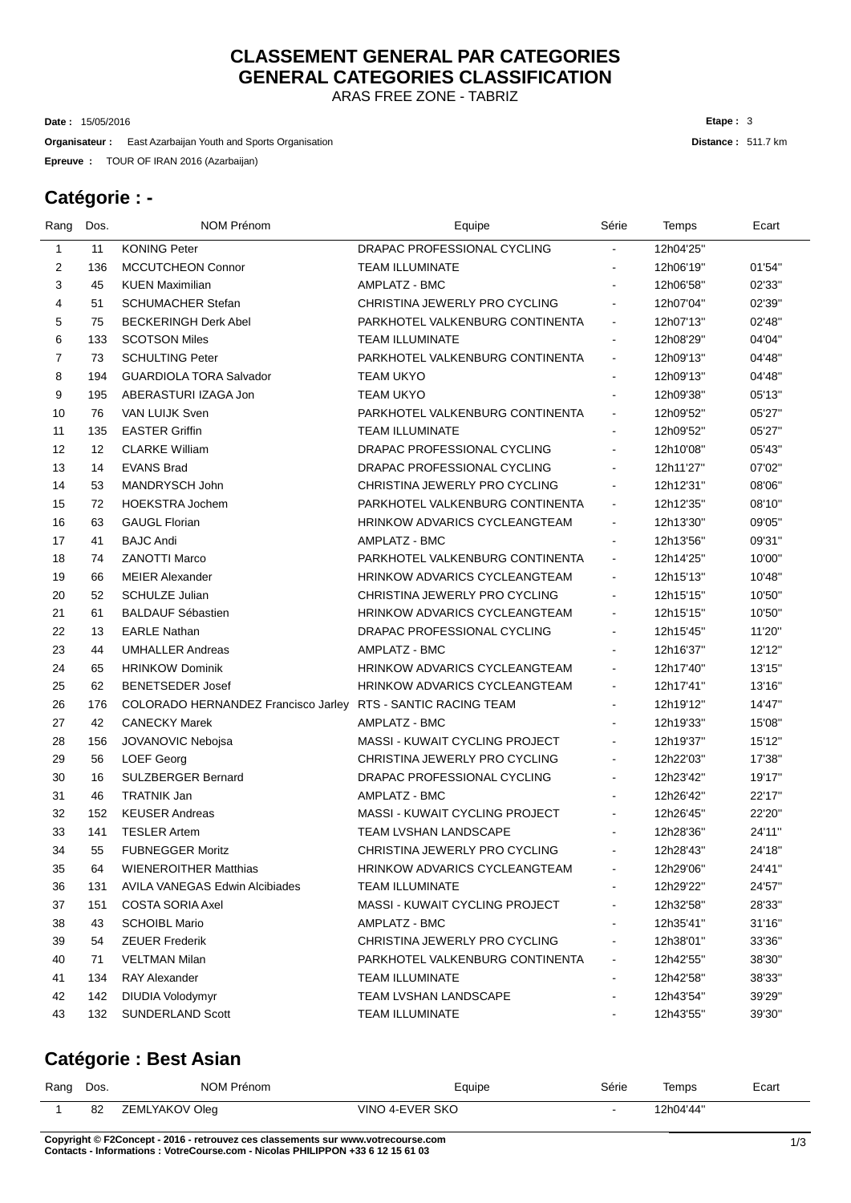# **CLASSEMENT GENERAL PAR CATEGORIES GENERAL CATEGORIES CLASSIFICATION**

ARAS FREE ZONE - TABRIZ

15/05/2016 **Date :**

**Organisateur** : East Azarbaijan Youth and Sports Organisation

TOUR OF IRAN 2016 (Azarbaijan) **Epreuve :**

#### **Catégorie : -**

| Rang | Dos. | <b>NOM Prénom</b>                     | Equipe                                | Série          | Temps     | Ecart  |
|------|------|---------------------------------------|---------------------------------------|----------------|-----------|--------|
| 1    | 11   | <b>KONING Peter</b>                   | DRAPAC PROFESSIONAL CYCLING           |                | 12h04'25" |        |
| 2    | 136  | <b>MCCUTCHEON Connor</b>              | <b>TEAM ILLUMINATE</b>                |                | 12h06'19" | 01'54" |
| 3    | 45   | <b>KUEN Maximilian</b>                | AMPLATZ - BMC                         | ä,             | 12h06'58" | 02'33" |
| 4    | 51   | <b>SCHUMACHER Stefan</b>              | CHRISTINA JEWERLY PRO CYCLING         |                | 12h07'04" | 02'39" |
| 5    | 75   | <b>BECKERINGH Derk Abel</b>           | PARKHOTEL VALKENBURG CONTINENTA       | $\blacksquare$ | 12h07'13" | 02'48" |
| 6    | 133  | <b>SCOTSON Miles</b>                  | <b>TEAM ILLUMINATE</b>                |                | 12h08'29" | 04'04" |
| 7    | 73   | <b>SCHULTING Peter</b>                | PARKHOTEL VALKENBURG CONTINENTA       | $\blacksquare$ | 12h09'13" | 04'48" |
| 8    | 194  | <b>GUARDIOLA TORA Salvador</b>        | <b>TEAM UKYO</b>                      | -              | 12h09'13" | 04'48" |
| 9    | 195  | ABERASTURI IZAGA Jon                  | <b>TEAM UKYO</b>                      | ä,             | 12h09'38" | 05'13" |
| 10   | 76   | VAN LUIJK Sven                        | PARKHOTEL VALKENBURG CONTINENTA       | ä,             | 12h09'52" | 05'27" |
| 11   | 135  | <b>EASTER Griffin</b>                 | <b>TEAM ILLUMINATE</b>                | Ξ.             | 12h09'52" | 05'27" |
| 12   | 12   | <b>CLARKE William</b>                 | DRAPAC PROFESSIONAL CYCLING           | L.             | 12h10'08" | 05'43" |
| 13   | 14   | <b>EVANS Brad</b>                     | DRAPAC PROFESSIONAL CYCLING           | $\blacksquare$ | 12h11'27" | 07'02" |
| 14   | 53   | MANDRYSCH John                        | CHRISTINA JEWERLY PRO CYCLING         | ä,             | 12h12'31" | 08'06" |
| 15   | 72   | <b>HOEKSTRA Jochem</b>                | PARKHOTEL VALKENBURG CONTINENTA       | $\blacksquare$ | 12h12'35" | 08'10" |
| 16   | 63   | <b>GAUGL Florian</b>                  | <b>HRINKOW ADVARICS CYCLEANGTEAM</b>  | ä,             | 12h13'30" | 09'05" |
| 17   | 41   | <b>BAJC Andi</b>                      | AMPLATZ - BMC                         |                | 12h13'56" | 09'31" |
| 18   | 74   | <b>ZANOTTI Marco</b>                  | PARKHOTEL VALKENBURG CONTINENTA       | $\blacksquare$ | 12h14'25" | 10'00" |
| 19   | 66   | <b>MEIER Alexander</b>                | <b>HRINKOW ADVARICS CYCLEANGTEAM</b>  | ۰              | 12h15'13" | 10'48" |
| 20   | 52   | <b>SCHULZE Julian</b>                 | CHRISTINA JEWERLY PRO CYCLING         | $\blacksquare$ | 12h15'15" | 10'50" |
| 21   | 61   | <b>BALDAUF Sébastien</b>              | <b>HRINKOW ADVARICS CYCLEANGTEAM</b>  | ä,             | 12h15'15" | 10'50" |
| 22   | 13   | <b>EARLE Nathan</b>                   | DRAPAC PROFESSIONAL CYCLING           | ä,             | 12h15'45" | 11'20" |
| 23   | 44   | <b>UMHALLER Andreas</b>               | AMPLATZ - BMC                         | ä,             | 12h16'37" | 12'12" |
| 24   | 65   | <b>HRINKOW Dominik</b>                | <b>HRINKOW ADVARICS CYCLEANGTEAM</b>  | ä,             | 12h17'40" | 13'15" |
| 25   | 62   | <b>BENETSEDER Josef</b>               | <b>HRINKOW ADVARICS CYCLEANGTEAM</b>  | ۰              | 12h17'41" | 13'16" |
| 26   | 176  | COLORADO HERNANDEZ Francisco Jarley   | RTS - SANTIC RACING TEAM              | Ξ.             | 12h19'12" | 14'47" |
| 27   | 42   | <b>CANECKY Marek</b>                  | AMPLATZ - BMC                         | ٠              | 12h19'33" | 15'08" |
| 28   | 156  | JOVANOVIC Nebojsa                     | MASSI - KUWAIT CYCLING PROJECT        | ä,             | 12h19'37" | 15'12" |
| 29   | 56   | <b>LOEF Georg</b>                     | CHRISTINA JEWERLY PRO CYCLING         | Ξ.             | 12h22'03" | 17'38" |
| 30   | 16   | <b>SULZBERGER Bernard</b>             | DRAPAC PROFESSIONAL CYCLING           | L.             | 12h23'42" | 19'17" |
| 31   | 46   | <b>TRATNIK Jan</b>                    | AMPLATZ - BMC                         | ÷.             | 12h26'42" | 22'17" |
| 32   | 152  | <b>KEUSER Andreas</b>                 | <b>MASSI - KUWAIT CYCLING PROJECT</b> |                | 12h26'45" | 22'20" |
| 33   | 141  | <b>TESLER Artem</b>                   | TEAM LVSHAN LANDSCAPE                 |                | 12h28'36" | 24'11" |
| 34   | 55   | <b>FUBNEGGER Moritz</b>               | CHRISTINA JEWERLY PRO CYCLING         | ä,             | 12h28'43" | 24'18" |
| 35   | 64   | <b>WIENEROITHER Matthias</b>          | <b>HRINKOW ADVARICS CYCLEANGTEAM</b>  | $\blacksquare$ | 12h29'06" | 24'41" |
| 36   | 131  | <b>AVILA VANEGAS Edwin Alcibiades</b> | <b>TEAM ILLUMINATE</b>                |                | 12h29'22" | 24'57" |
| 37   | 151  | <b>COSTA SORIA Axel</b>               | <b>MASSI - KUWAIT CYCLING PROJECT</b> |                | 12h32'58" | 28'33" |
| 38   | 43   | <b>SCHOIBL Mario</b>                  | AMPLATZ - BMC                         |                | 12h35'41" | 31'16" |
| 39   | 54   | <b>ZEUER Frederik</b>                 | CHRISTINA JEWERLY PRO CYCLING         |                | 12h38'01" | 33'36" |
| 40   | 71   | <b>VELTMAN Milan</b>                  | PARKHOTEL VALKENBURG CONTINENTA       |                | 12h42'55" | 38'30" |
| 41   | 134  | <b>RAY Alexander</b>                  | <b>TEAM ILLUMINATE</b>                | ۰              | 12h42'58" | 38'33" |
| 42   | 142  | <b>DIUDIA Volodymyr</b>               | TEAM LVSHAN LANDSCAPE                 | Ξ.             | 12h43'54" | 39'29" |
| 43   | 132  | <b>SUNDERLAND Scott</b>               | <b>TEAM ILLUMINATE</b>                |                | 12h43'55" | 39'30" |
|      |      |                                       |                                       |                |           |        |

### **Catégorie : Best Asian**

| Rang | Dos. | NOM Prénom     | Equipe          | Série  | Temps     | Ecart |
|------|------|----------------|-----------------|--------|-----------|-------|
|      | 82   | ZEMLYAKOV Oleg | VINO 4-EVER SKO | $\sim$ | 12h04'44" |       |

**C** 1/3 **opyright © F2Concept - 2016 - retrouvez ces classements sur www.votrecourse.com Contacts - Informations : VotreCourse.com - Nicolas PHILIPPON +33 6 12 15 61 03**

**Distance :** 511.7 km **Etape :** 3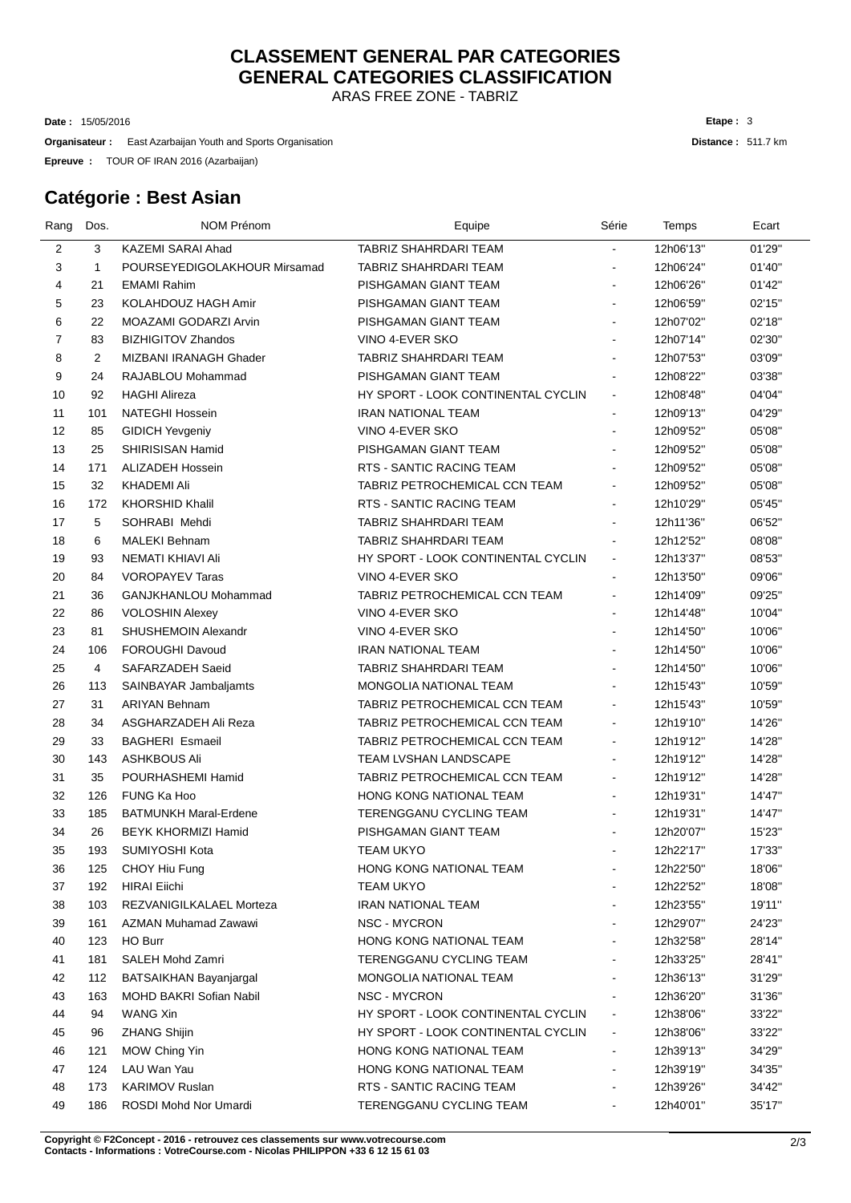# **CLASSEMENT GENERAL PAR CATEGORIES GENERAL CATEGORIES CLASSIFICATION**

ARAS FREE ZONE - TABRIZ

15/05/2016 **Date :**

**Organisateur** : East Azarbaijan Youth and Sports Organisation

TOUR OF IRAN 2016 (Azarbaijan) **Epreuve :**

### **Catégorie : Best Asian**

| Rang | Dos.           | <b>NOM Prénom</b>            | Equipe                             | Série                    | Temps     | Ecart  |
|------|----------------|------------------------------|------------------------------------|--------------------------|-----------|--------|
| 2    | 3              | KAZEMI SARAI Ahad            | TABRIZ SHAHRDARI TEAM              |                          | 12h06'13" | 01'29" |
| 3    | $\mathbf{1}$   | POURSEYEDIGOLAKHOUR Mirsamad | TABRIZ SHAHRDARI TEAM              | ۰                        | 12h06'24" | 01'40" |
| 4    | 21             | <b>EMAMI Rahim</b>           | PISHGAMAN GIANT TEAM               | $\blacksquare$           | 12h06'26" | 01'42" |
| 5    | 23             | KOLAHDOUZ HAGH Amir          | PISHGAMAN GIANT TEAM               |                          | 12h06'59" | 02'15" |
| 6    | 22             | MOAZAMI GODARZI Arvin        | PISHGAMAN GIANT TEAM               | $\blacksquare$           | 12h07'02" | 02'18" |
| 7    | 83             | <b>BIZHIGITOV Zhandos</b>    | VINO 4-EVER SKO                    | ۰                        | 12h07'14" | 02'30" |
| 8    | $\overline{2}$ | MIZBANI IRANAGH Ghader       | TABRIZ SHAHRDARI TEAM              | ۰                        | 12h07'53" | 03'09" |
| 9    | 24             | RAJABLOU Mohammad            | PISHGAMAN GIANT TEAM               | ۰                        | 12h08'22" | 03'38" |
| 10   | 92             | <b>HAGHI Alireza</b>         | HY SPORT - LOOK CONTINENTAL CYCLIN | $\blacksquare$           | 12h08'48" | 04'04" |
| 11   | 101            | <b>NATEGHI Hossein</b>       | <b>IRAN NATIONAL TEAM</b>          | Ξ.                       | 12h09'13" | 04'29" |
| 12   | 85             | <b>GIDICH Yevgeniy</b>       | VINO 4-EVER SKO                    | $\blacksquare$           | 12h09'52" | 05'08" |
| 13   | 25             | SHIRISISAN Hamid             | PISHGAMAN GIANT TEAM               |                          | 12h09'52" | 05'08" |
| 14   | 171            | <b>ALIZADEH Hossein</b>      | RTS - SANTIC RACING TEAM           |                          | 12h09'52" | 05'08" |
| 15   | 32             | <b>KHADEMI Ali</b>           | TABRIZ PETROCHEMICAL CCN TEAM      |                          | 12h09'52" | 05'08" |
| 16   | 172            | <b>KHORSHID Khalil</b>       | RTS - SANTIC RACING TEAM           |                          | 12h10'29" | 05'45" |
| 17   | 5              | SOHRABI Mehdi                | TABRIZ SHAHRDARI TEAM              |                          | 12h11'36" | 06'52" |
| 18   | 6              | <b>MALEKI Behnam</b>         | TABRIZ SHAHRDARI TEAM              | ۰                        | 12h12'52" | 08'08" |
| 19   | 93             | NEMATI KHIAVI Ali            | HY SPORT - LOOK CONTINENTAL CYCLIN | $\blacksquare$           | 12h13'37" | 08'53" |
| 20   | 84             | <b>VOROPAYEV Taras</b>       | VINO 4-EVER SKO                    | ۰                        | 12h13'50" | 09'06" |
| 21   | 36             | GANJKHANLOU Mohammad         | TABRIZ PETROCHEMICAL CCN TEAM      | $\blacksquare$           | 12h14'09" | 09'25" |
| 22   | 86             | <b>VOLOSHIN Alexey</b>       | VINO 4-EVER SKO                    | $\blacksquare$           | 12h14'48" | 10'04" |
| 23   | 81             | SHUSHEMOIN Alexandr          | VINO 4-EVER SKO                    | $\blacksquare$           | 12h14'50" | 10'06" |
| 24   | 106            | <b>FOROUGHI Davoud</b>       | <b>IRAN NATIONAL TEAM</b>          | $\blacksquare$           | 12h14'50" | 10'06" |
| 25   | 4              | SAFARZADEH Saeid             | TABRIZ SHAHRDARI TEAM              |                          | 12h14'50" | 10'06" |
| 26   | 113            | SAINBAYAR Jambaljamts        | MONGOLIA NATIONAL TEAM             | $\blacksquare$           | 12h15'43" | 10'59" |
| 27   | 31             | <b>ARIYAN Behnam</b>         | TABRIZ PETROCHEMICAL CCN TEAM      | Ξ.                       | 12h15'43" | 10'59" |
| 28   | 34             | ASGHARZADEH Ali Reza         | TABRIZ PETROCHEMICAL CCN TEAM      | Ξ.                       | 12h19'10" | 14'26" |
| 29   | 33             | <b>BAGHERI Esmaeil</b>       | TABRIZ PETROCHEMICAL CCN TEAM      | Ξ.                       | 12h19'12" | 14'28" |
| 30   | 143            | ASHKBOUS Ali                 | <b>TEAM LVSHAN LANDSCAPE</b>       |                          | 12h19'12" | 14'28" |
| 31   | 35             | POURHASHEMI Hamid            | TABRIZ PETROCHEMICAL CCN TEAM      | ä,                       | 12h19'12" | 14'28" |
| 32   | 126            | <b>FUNG Ka Hoo</b>           | <b>HONG KONG NATIONAL TEAM</b>     |                          | 12h19'31" | 14'47" |
| 33   | 185            | <b>BATMUNKH Maral-Erdene</b> | TERENGGANU CYCLING TEAM            | Ξ.                       | 12h19'31" | 14'47" |
| 34   | 26             | <b>BEYK KHORMIZI Hamid</b>   | PISHGAMAN GIANT TEAM               |                          | 12h20'07" | 15'23" |
| 35   | 193            | SUMIYOSHI Kota               | <b>TEAM UKYO</b>                   | ä,                       | 12h22'17" | 17'33" |
| 36   | 125            | CHOY Hiu Fung                | HONG KONG NATIONAL TEAM            | Ξ.                       | 12h22'50" | 18'06" |
| 37   | 192            | <b>HIRAI</b> Eiichi          | <b>TEAM UKYO</b>                   |                          | 12h22'52" | 18'08" |
| 38   | 103            | REZVANIGILKALAEL Morteza     | <b>IRAN NATIONAL TEAM</b>          |                          | 12h23'55" | 19'11" |
| 39   | 161            | AZMAN Muhamad Zawawi         | NSC - MYCRON                       |                          | 12h29'07" | 24'23" |
| 40   | 123            | HO Burr                      | HONG KONG NATIONAL TEAM            |                          | 12h32'58" | 28'14" |
| 41   | 181            | SALEH Mohd Zamri             | TERENGGANU CYCLING TEAM            |                          | 12h33'25" | 28'41" |
| 42   | 112            | BATSAIKHAN Bayanjargal       | <b>MONGOLIA NATIONAL TEAM</b>      |                          | 12h36'13" | 31'29" |
| 43   | 163            | MOHD BAKRI Sofian Nabil      | NSC - MYCRON                       | ۰                        | 12h36'20" | 31'36" |
| 44   | 94             | <b>WANG Xin</b>              | HY SPORT - LOOK CONTINENTAL CYCLIN | ۰                        | 12h38'06" | 33'22" |
| 45   | 96             | <b>ZHANG Shijin</b>          | HY SPORT - LOOK CONTINENTAL CYCLIN | ٠                        | 12h38'06" | 33'22" |
| 46   | 121            | MOW Ching Yin                | HONG KONG NATIONAL TEAM            | $\overline{\phantom{0}}$ | 12h39'13" | 34'29" |
| 47   | 124            | LAU Wan Yau                  | HONG KONG NATIONAL TEAM            | ۰                        | 12h39'19" | 34'35" |
| 48   | 173            | <b>KARIMOV Ruslan</b>        | RTS - SANTIC RACING TEAM           | ۰                        | 12h39'26" | 34'42" |
| 49   | 186            | ROSDI Mohd Nor Umardi        | TERENGGANU CYCLING TEAM            |                          | 12h40'01" | 35'17" |

**C** 2/3 **opyright © F2Concept - 2016 - retrouvez ces classements sur www.votrecourse.com Contacts - Informations : VotreCourse.com - Nicolas PHILIPPON +33 6 12 15 61 03**

**Distance :** 511.7 km **Etape :** 3